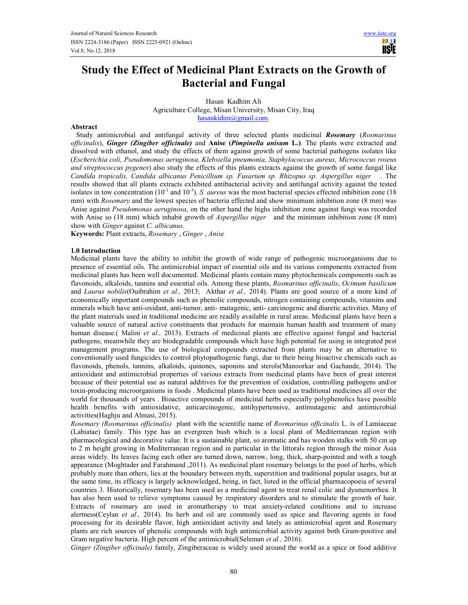m **USTE** 

# **Study the Effect of Medicinal Plant Extracts on the Growth of Bacterial and Fungal**

Hasan Kadhim Ali Agriculture College, Misan University, Misan City, Iraq hasankidim@gmail.com.

#### **Abstract**

 Study antimicrobial and antifungal activity of three selected plants medicinal *Rosemary* (*Rosmarinus officinalis*), *Ginger (Zingiber officinale)* and **Anise (***Pimpinella anisum* **L.)**. The plants were extracted and dissolved with ethanol, and study the effects of them against growth of some bacterial pathogens isolates like (*Escherichia coli, Pseudomonas aeruginosa, Klebsiella pneumonia, Staphylococcus aureus, Micrococcus roseus and streptococcus pygenes*) also study the effects of this plants extracts against the growth of some fungal like *Candida tropicalis, Candida albicanus Penicillium sp. Fusarium sp. Rhizopus sp. Aspergillus niger* . The results showed that all plants extracts exhibited antibacterial activity and antifungal activity against the tested isolates in tow concentration  $(10^{-1}$  and  $10^{-3})$ . *S. aureus* was the most bacterial species effected inhibition zone (18) mm) with *Rosemary* and the lowest species of bacteria effected and show minimum inhibition zone (8 mm) was Anise against *Pseudomonas aeruginosa*, on the other hand the highs inhibition zone against fungi was recorded with Anise so (18 mm) which inhabit growth of *Aspergillus niger* and the minimum inhibition zone (8 mm) show with *Ginger* against *C. albicanus*.

**Keywords:** Plant extracts, *Rosemary* , *Ginger* , *Anise* 

#### **1.0 Introduction**

Medicinal plants have the ability to inhibit the growth of wide range of pathogenic microorganisms due to presence of essential oils. The antimicrobial impact of essential oils and its various components extracted from medicinal plants has been well documented. Medicinal plants contain many phytochemicals components such as flavonoids, alkaloids, tannins and essential oils. Among these plants, *Rosmarinus officinalis*, *Ocimum basilicum*  and *Laurus nobilis*(Ouibrahim *et al.,* 2013; Akthar *et al.,* 2014). Plants are good source of a more kind of economically important compounds such as phenolic compounds, nitrogen containing compounds, vitamins and minerals which have anti-oxidant, anti-tumor, anti- mutagenic, anti- carcinogenic and diuretic activities. Many of the plant materials used in traditional medicine are readily available in rural areas. Medicinal plants have been a valuable source of natural active constituents that products for maintain human health and treatment of many human disease.( Malini *et al.,* 2013). Extracts of medicinal plants are effective against fungal and bacterial pathogens; meanwhile they are biodegradable compounds which have high potential for using in integrated pest management programs. The use of biological compounds extracted from plants may be an alternative to conventionally used fungicides to control phytopathogenic fungi, due to their being bioactive chemicals such as flavonoids, phenols, tannins, alkaloids, quinones, saponins and sterols(Manoorkar and Gachande, 2014). The antioxidant and antimicrobial properties of various extracts from medicinal plants have been of great interest because of their potential use as natural additives for the prevention of oxidation, controlling pathogens and/or toxin-producing microorganisms in foods . Medicinal plants have been used as traditional medicines all over the world for thousands of years . Bioactive compounds of medicinal herbs especially polyphenolics have possible health benefits with antioxidative, anticarcinogenic, antihypertensive, antimutagenic and antimicrobial activities(Haghju and Almasi, 2015).

*Rosemary (Rosmarinus officinalis)* plant with the scientific name of *Rosmarinus officinalis* L. is of Lamiaceae (Labiatae) family. This type has an evergreen bush which is a local plant of Mediterranean region with pharmacological and decorative value. It is a sustainable plant, so aromatic and has wooden stalks with 50 cm up to 2 m height growing in Mediterranean region and in particular in the littorals region through the minor Asia areas widely. Its leaves facing each other are turned down, narrow, long, thick, sharp-pointed and with a tough appearance (Moghtader and Farahmand ,2011). As medicinal plant rosemary belongs to the pool of herbs, which probably more than others, lies at the boundary between myth, superstition and traditional popular usages, but at the same time, its efficacy is largely acknowledged, being, in fact, listed in the official pharmacopoeia of several countries 3. Historically, rosemary has been used as a medicinal agent to treat renal colic and dysmenorrhea. It has also been used to relieve symptoms caused by respiratory disorders and to stimulate the growth of hair. Extracts of rosemary are used in aromatherapy to treat anxiety-related conditions and to increase alertness(Ceylan *et al.,* 2014). Its herb and oil are commonly used as spice and flavoring agents in food processing for its desirable flavor, high antioxidant activity and lately as antimicrobial agent and Rosemary plants are rich sources of phenolic compounds with high antimicrobial activity against both Gram-positive and Gram negative bacteria. High percent of the antimicrobial(Seleman *et al.,* 2016).

*Ginger (Zingiber officinale)* family, Zingiberaceae is widely used around the world as a spice or food additive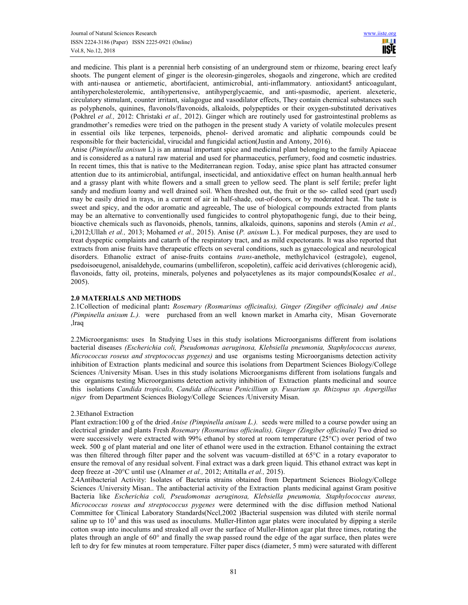and medicine. This plant is a perennial herb consisting of an underground stem or rhizome, bearing erect leafy shoots. The pungent element of ginger is the oleoresin-gingeroles, shogaols and zingerone, which are credited with anti-nausea or antiemetic, abortifacient, antimicrobial, anti-inflammatory. antioxidant5 anticoagulant, antihypercholesterolemic, antihypertensive, antihyperglycaemic, and anti-spasmodic, aperient. alexeteric, circulatory stimulant, counter irritant, sialagogue and vasodilator effects, They contain chemical substances such as polyphenols, quinines, flavonols/flavonoids, alkaloids, polypeptides or their oxygen-substituted derivatives (Pokhrel *et al.,* 2012: Christaki *et al.,* 2012). Ginger which are routinely used for gastrointestinal problems as grandmother's remedies were tried on the pathogen in the present study A variety of volatile molecules present in essential oils like terpenes, terpenoids, phenol- derived aromatic and aliphatic compounds could be responsible for their bactericidal, virucidal and fungicidal action(Justin and Antony, 2016).

Anise (*Pimpinella anisum* L) is an annual important spice and medicinal plant belonging to the family Apiaceae and is considered as a natural raw material and used for pharmaceutics, perfumery, food and cosmetic industries. In recent times, this that is native to the Mediterranean region. Today, anise spice plant has attracted consumer attention due to its antimicrobial, antifungal, insecticidal, and antioxidative effect on human health.annual herb and a grassy plant with white flowers and a small green to yellow seed. The plant is self fertile; prefer light sandy and medium loamy and well drained soil. When threshed out, the fruit or the so- called seed (part used) may be easily dried in trays, in a current of air in half-shade, out-of-doors, or by moderated heat. The taste is sweet and spicy, and the odor aromatic and agreeable, The use of biological compounds extracted from plants may be an alternative to conventionally used fungicides to control phytopathogenic fungi, due to their being, bioactive chemicals such as flavonoids, phenols, tannins, alkaloids, quinons, saponins and sterols (Amin *et al.,* i,2012;Ullah *et al.,* 2013; Mohamed *et al.,* 2015). Anise (*P. anisum* L.). For medical purposes, they are used to treat dyspeptic complaints and catarrh of the respiratory tract, and as mild expectorants. It was also reported that extracts from anise fruits have therapeutic effects on several conditions, such as gynaecological and neurological disorders. Ethanolic extract of anise-fruits contains *trans*-anethole, methylchavicol (estragole), eugenol, psedoisoeugenol, anisaldehyde, coumarins (umbelliferon, scopoletin), caffeic acid derivatives (chlorogenic acid), flavonoids, fatty oil, proteins, minerals, polyenes and polyacetylenes as its major compounds(Kosalec *et al.,* 2005).

## **2.0 MATERIALS AND METHODS**

2.1Collection of medicinal plant**:** *Rosemary (Rosmarinus officinalis), Ginger (Zingiber officinale) and Anise (Pimpinella anisum L.).* were purchased from an well known market in Amarha city, Misan Governorate ,lraq

2.2Microorganisms: uses In Studying Uses in this study isolations Microorganisms different from isolations bacterial diseases *(Escherichia coli, Pseudomonas aeruginosa, Klebsiella pneumonia, Staphylococcus aureus, Micrococcus roseus and streptococcus pygenes)* and use organisms testing Microorganisms detection activity inhibition of Extraction plants medicinal and source this isolations from Department Sciences Biology/College Sciences /University Misan. Uses in this study isolations Microorganisms different from isolations fungals and use organisms testing Microorganisms detection activity inhibition of Extraction plants medicinal and source this isolations *Candida tropicalis, Candida albicanus Penicillium sp. Fusarium sp. Rhizopus sp. Aspergillus niger* from Department Sciences Biology/College Sciences /University Misan.

## 2.3Ethanol Extraction

Plant extraction:100 g of the dried *Anise (Pimpinella anisum L.).* seeds were milled to a course powder using an electrical grinder and plants Fresh *Rosemary (Rosmarinus officinalis), Ginger (Zingiber officinale)* Two dried so were successively were extracted with 99% ethanol by stored at room temperature (25°C) over period of two week. 500 g of plant material and one liter of ethanol were used in the extraction. Ethanol containing the extract was then filtered through filter paper and the solvent was vacuum–distilled at 65<sup>o</sup>C in a rotary evaporator to ensure the removal of any residual solvent. Final extract was a dark green liquid. This ethanol extract was kept in deep freeze at -20°C until use (Alnamer *et al.,* 2012; Attitalla *et al.,* 2015).

2.4Antibacterial Activity: Isolates of Bacteria strains obtained from Department Sciences Biology/College Sciences /University Misan.. The antibacterial activity of the Extraction plants medicinal against Gram positive Bacteria like *Escherichia coli, Pseudomonas aeruginosa, Klebsiella pneumonia, Staphylococcus aureus, Micrococcus roseus and streptococcus pygenes* were determined with the disc diffusion method National Committee for Clinical Laboratory Standards(Nccl,2002 )Bacterial suspension was diluted with sterile normal saline up to  $10<sup>3</sup>$  and this was used as inoculums. Muller-Hinton agar plates were inoculated by dipping a sterile cotton swap into inoculums and streaked all over the surface of Muller-Hinton agar plat three times, rotating the plates through an angle of 60° and finally the swap passed round the edge of the agar surface, then plates were left to dry for few minutes at room temperature. Filter paper discs (diameter, 5 mm) were saturated with different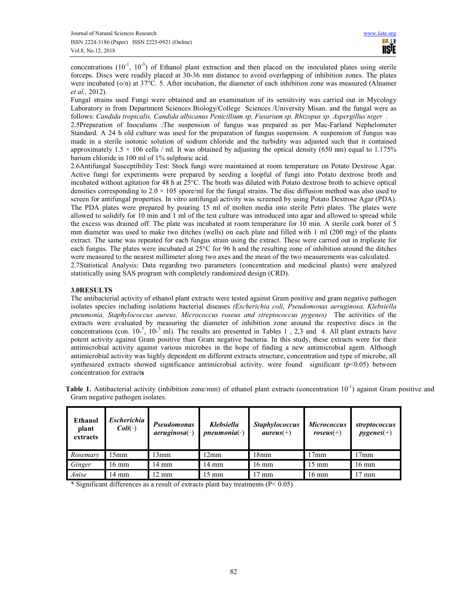concentrations  $(10^{-1}, 10^{-3})$  of Ethanol plant extraction and then placed on the inoculated plates using sterile forceps. Discs were readily placed at 30-36 mm distance to avoid overlapping of inhibition zones. The plates were incubated (o/n) at 37°C. 5. After incubation, the diameter of each inhibition zone was measured (Alnamer *et al.,* 2012).

Fungal strains used Fungi were obtained and an examination of its sensitivity was carried out in Mycology Laboratory in from Department Sciences Biology/College Sciences /University Misan. and the fungal were as follows: *Candida tropicalis, Candida albicanus Penicillium sp. Fusarium sp. Rhizopus sp. Aspergillus niger .* 

2.5Preparation of Inoculums :The suspension of fungus was prepared as per Mac-Farland Nephelometer Standard. A 24 h old culture was used for the preparation of fungus suspension. A suspension of fungus was made in a sterile isotonic solution of sodium chloride and the turbidity was adjusted such that it contained approximately  $1.5 \times 106$  cells / ml. It was obtained by adjusting the optical density (650 nm) equal to 1.175% barium chloride in 100 ml of 1% sulphuric acid.

2.6Antifungal Susceptibility Test: Stock fungi were maintained at room temperature on Potato Dextrose Agar. Active fungi for experiments were prepared by seeding a loopful of fungi into Potato dextrose broth and incubated without agitation for 48 h at 25°C. The broth was diluted with Potato dextrose broth to achieve optical densities corresponding to  $2.0 \times 105$  spore/ml for the fungal strains. The disc diffusion method was also used to screen for antifungal properties. In vitro antifungal activity was screened by using Potato Dextrose Agar (PDA). The PDA plates were prepared by pouring 15 ml of molten media into sterile Petri plates. The plates were allowed to solidify for 10 min and 1 ml of the test culture was introduced into agar and allowed to spread while the excess was drained off. The plate was incubated at room temperature for 10 min. A sterile cork borer of 5 mm diameter was used to make two ditches (wells) on each plate and filled with 1 ml (200 mg) of the plants extract. The same was repeated for each fungus strain using the extract. These were carried out in triplicate for each fungus. The plates were incubated at 25°C for 96 h and the resulting zone of inhibition around the ditches were measured to the nearest millimeter along two axes and the mean of the two measurements was calculated. 2.7Statistical Analysis: Data regarding two parameters (concentration and medicinal plants) were analyzed statistically using SAS program with completely randomized design (CRD).

## **3.0RESULTS**

The antibacterial activity of ethanol plant extracts were tested against Gram positive and gram negative pathogen isolates species including isolations bacterial diseases *(Escherichia coli, Pseudomonas aeruginosa, Klebsiella pneumonia, Staphylococcus aureus, Micrococcus roseus and streptococcus pygenes)* The activities of the extracts were evaluated by measuring the diameter of inhibition zone around the respective discs in the concentrations (con.  $10^{-1}$ ,  $10^{-3}$  ml). The results are presented in Tables 1, 2,3 and 4. All plant extracts have potent activity against Gram positive than Gram negative bacteria. In this study, these extracts were for their antimicrobial activity against various microbes in the hope of finding a new antimicrobial agent. Although antimicrobial activity was highly dependent on different extracts structure, concentration and type of microbe, all synthesized extracts showed significance antimicrobial activity. were found significant ( $p<0.05$ ) between concentration for extract**s** 

**Table 1.** Antibacterial activity (inhibition zone/mm) of ethanol plant extracts (concentration  $10^{-1}$ ) against Gram positive and Gram negative pathogen isolates.

| Ethanol<br>plant<br>extracts | Escherichia<br>$Coli(\text{-})$ | <b>Pseudomonas</b><br>$a$ eruginosa $(-)$ | <b>Klebsiella</b><br>$p$ neumonia $(-)$ | <b>Staphylococcus</b><br>$aureus(+)$ | <b>Micrococcus</b><br>$roseus(+)$ | streptococcus<br>$pygenes(+)$ |
|------------------------------|---------------------------------|-------------------------------------------|-----------------------------------------|--------------------------------------|-----------------------------------|-------------------------------|
| Rosemary                     | 15mm                            | 13mm                                      | 12mm                                    | 18mm                                 | 17 <sub>mm</sub>                  | 17 <sub>mm</sub>              |
| Ginger                       | $16 \text{ mm}$                 | 14 mm                                     | $14 \text{ mm}$                         | $16 \text{ mm}$                      | $15 \text{ mm}$                   | $16 \text{ mm}$               |
| Anise                        | 14 mm                           | $\sqrt{2}$ mm                             | $15 \text{ mm}$                         | $17 \text{ mm}$                      | $16 \text{ mm}$                   | mm                            |

\* Significant differences as a result of extracts plant bay treatments  $(P< 0.05)$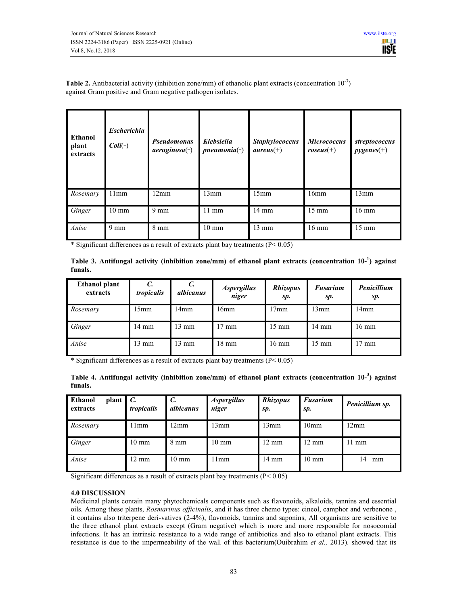

**Table 2.** Antibacterial activity (inhibition zone/mm) of ethanolic plant extracts (concentration  $10^{-3}$ ) against Gram positive and Gram negative pathogen isolates.

| <b>Ethanol</b><br>plant<br>extracts | <b>Escherichia</b><br>$Coli(\text{-})$ | <b>Pseudomonas</b><br>$a$ eruginosa $(\bar{\ })$ | <b>Klebsiella</b><br>$p$ neumonia $(\bar{\ } )$ | <b>Staphylococcus</b><br>$aureus(+)$ | <b>Micrococcus</b><br>$roseus(+)$ | streptococcus<br>$pygenes(+)$ |
|-------------------------------------|----------------------------------------|--------------------------------------------------|-------------------------------------------------|--------------------------------------|-----------------------------------|-------------------------------|
| Rosemary                            | 11mm                                   | 12mm                                             | 13mm                                            | 15mm                                 | 16mm                              | 13mm                          |
| Ginger                              | $10 \text{ mm}$                        | $9 \text{ mm}$                                   | $11 \text{ mm}$                                 | $14 \text{ mm}$                      | $15 \text{ mm}$                   | $16 \text{ mm}$               |
| Anise                               | $9 \text{ mm}$                         | $8 \text{ mm}$                                   | $10 \text{ mm}$                                 | $13 \text{ mm}$                      | $16 \text{ mm}$                   | $15 \text{ mm}$               |

\* Significant differences as a result of extracts plant bay treatments (P< 0.05)

**Table 3. Antifungal activity (inhibition zone/mm) of ethanol plant extracts (concentration 10-<sup>1</sup> ) against funals.**

| <b>Ethanol plant</b><br>extracts | $\mathcal{C}$<br>tropicalis | $\mathcal{C}$<br>albicanus | <i><b>Aspergillus</b></i><br>niger | <b>Rhizopus</b><br>sp. | <b>Fusarium</b><br>sp. | <b>Penicillium</b><br>Sp. |  |
|----------------------------------|-----------------------------|----------------------------|------------------------------------|------------------------|------------------------|---------------------------|--|
| Rosemary                         | 15mm                        | 4mm                        | 17 <sub>mm</sub><br>13mm<br>16mm   |                        |                        | 14mm                      |  |
| Ginger                           | $14 \text{ mm}$             | $13 \text{ mm}$            | $17 \text{ mm}$                    | $15 \text{ mm}$        | $14 \text{ mm}$        | $16 \text{ mm}$           |  |
| Anise                            | $13 \text{ mm}$             | $13 \text{ mm}$            | $18 \text{ mm}$                    | $16 \text{ mm}$        | $15 \text{ mm}$        | $17 \text{ mm}$           |  |

\* Significant differences as a result of extracts plant bay treatments  $(P< 0.05)$ 

|         |  |  |  | Table 4. Antifungal activity (inhibition zone/mm) of ethanol plant extracts (concentration 10-3) against |  |
|---------|--|--|--|----------------------------------------------------------------------------------------------------------|--|
| funals. |  |  |  |                                                                                                          |  |

| <b>Ethanol</b><br>plant<br>extracts | $\mathsf{I}$ C.<br>tropicalis | $\mathcal{C}$<br>albicanus | <i><b>Aspergillus</b></i><br>niger | <b>Rhizopus</b><br>sp. | <b>Fusarium</b><br>sp. | Penicillium sp. |
|-------------------------------------|-------------------------------|----------------------------|------------------------------------|------------------------|------------------------|-----------------|
| Rosemary                            | 1mm                           | l2mm                       | 13mm                               | 13mm                   | 10 <sub>mm</sub>       | 12mm            |
| Ginger                              | $10 \text{ mm}$               | $8 \text{ mm}$             | $10 \text{ mm}$                    | $12 \text{ mm}$        | $12 \text{ mm}$        | $11 \text{ mm}$ |
| Anise                               | $12 \text{ mm}$               | $10 \text{ mm}$            | 11mm                               | $14 \text{ mm}$        | $10 \text{ mm}$        | 14<br>mm        |

Significant differences as a result of extracts plant bay treatments (P< 0.05)

## **4.0 DISCUSSION**

Medicinal plants contain many phytochemicals components such as flavonoids, alkaloids, tannins and essential oils. Among these plants, *Rosmarinus officinalis*, and it has three chemo types: cineol, camphor and verbenone , it contains also triterpene deri-vatives (2-4%), flavonoids, tannins and saponins, All organisms are sensitive to the three ethanol plant extracts except (Gram negative) which is more and more responsible for nosocomial infections. It has an intrinsic resistance to a wide range of antibiotics and also to ethanol plant extracts. This resistance is due to the impermeability of the wall of this bacterium(Ouibrahim *et al.,* 2013). showed that its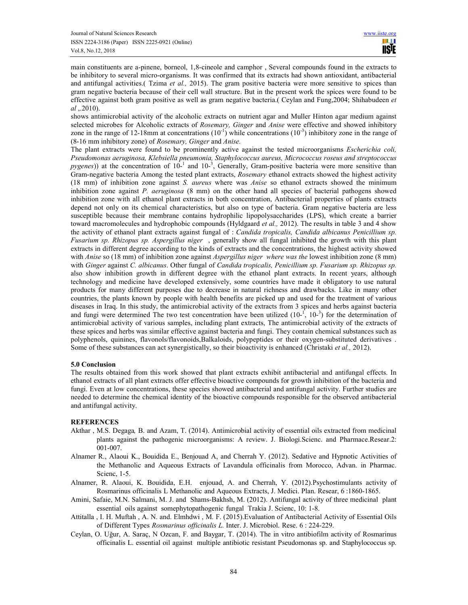main constituents are a-pinene, borneol, 1,8-cineole and camphor , Several compounds found in the extracts to be inhibitory to several micro-organisms. It was confirmed that its extracts had shown antioxidant, antibacterial and antifungal activities.( Tzima *et al.,* 2015). The gram positive bacteria were more sensitive to spices than gram negative bacteria because of their cell wall structure. But in the present work the spices were found to be effective against both gram positive as well as gram negative bacteria.( Ceylan and Fung,2004; Shihabudeen *et al* ,.2010).

shows antimicrobial activity of the alcoholic extracts on nutrient agar and Muller Hinton agar medium against selected microbes for Alcoholic extracts of *Rosemary, Ginger* and *Anise* were effective and showed inhibitory zone in the range of 12-18mm at concentrations  $(10^{-1})$  while concentrations  $(10^{-3})$  inhibitory zone in the range of (8‐16 mm inhibitory zone) of *Rosemary, Ginger* and *Anise.* 

The plant extracts were found to be prominently active against the tested microorganisms *Escherichia coli, Pseudomonas aeruginosa, Klebsiella pneumonia, Staphylococcus aureus, Micrococcus roseus and streptococcus*   $pygenes)$ ) at the concentration of  $10^{-1}$  and  $10^{-3}$ , Generally, Gram-positive bacteria were more sensitive than Gram-negative bacteria Among the tested plant extracts, *Rosemary* ethanol extracts showed the highest activity (18 mm) of inhibition zone against *S. aureus* where was *Anise* so ethanol extracts showed the minimum inhibition zone against *P. aeruginosa* (8 mm) on the other hand all species of bacterial pathogens showed inhibition zone with all ethanol plant extracts in both concentration, Antibacterial properties of plants extracts depend not only on its chemical characteristics, but also on type of bacteria. Gram negative bacteria are less susceptible because their membrane contains hydrophilic lipopolysaccharides (LPS), which create a barrier toward macromolecules and hydrophobic compounds (Hyldgaard *et al.,* 2012). The results in table 3 and 4 show the activity of ethanol plant extracts against fungal of : *Candida tropicalis, Candida albicanus Penicillium sp. Fusarium sp. Rhizopus sp. Aspergillus niger* , generally show all fungal inhibited the growth with this plant extracts in different degree according to the kinds of extracts and the concentrations, the highest activity showed with *Anise* so (18 mm) of inhibition zone against *Aspergillus niger where was the* lowest inhibition zone (8 mm) with *Ginger* against *C. albicanus*. Other fungal of *Candida tropicalis, Penicillium sp. Fusarium sp. Rhizopus sp.*  also show inhibition growth in different degree with the ethanol plant extracts. In recent years, although technology and medicine have developed extensively, some countries have made it obligatory to use natural products for many different purposes due to decrease in natural richness and drawbacks. Like in many other countries, the plants known by people with health benefits are picked up and used for the treatment of various diseases in Iraq. In this study, the antimicrobial activity of the extracts from 3 spices and herbs against bacteria and fungi were determined The two test concentration have been utilized  $(10^{-1}, 10^{-3})$  for the determination of antimicrobial activity of various samples, including plant extracts, The antimicrobial activity of the extracts of these spices and herbs was similar effective against bacteria and fungi. They contain chemical substances such as polyphenols, quinines, flavonols/flavonoids,Balkaloids, polypeptides or their oxygen-substituted derivatives . Some of these substances can act synergistically, so their bioactivity is enhanced (Christaki *et al.,* 2012).

#### **5.0 Conclusion**

The results obtained from this work showed that plant extracts exhibit antibacterial and antifungal effects. In ethanol extracts of all plant extracts offer effective bioactive compounds for growth inhibition of the bacteria and fungi. Even at low concentrations, these species showed antibacterial and antifungal activity. Further studies are needed to determine the chemical identity of the bioactive compounds responsible for the observed antibacterial and antifungal activity.

#### **REFERENCES**

- Akthar , M.S. Degaga*,* B. and Azam, T. (2014). Antimicrobial activity of essential oils extracted from medicinal plants against the pathogenic microorganisms: A review. J. Biologi.Scienc. and Pharmace.Resear.2: 001-007.
- Alnamer R., Alaoui K., Bouidida E., Benjouad A, and Cherrah Y. (2012). Sedative and Hypnotic Activities of the Methanolic and Aqueous Extracts of Lavandula officinalis from Morocco, Advan. in Pharmac. Scienc, 1-5.
- Alnamer, R. Alaoui, K. Bouidida, E.H. enjouad, A. and Cherrah, Y. (2012).Psychostimulants activity of Rosmarinus officinalis L Methanolic and Aqueous Extracts, J. Medici. Plan. Resear, 6 :1860-1865.
- Amini, Safaie, M.N. Salmani, M. J. and Shams-Bakhsh, M. (2012). Antifungal activity of three medicinal plant essential oils against somephytopathogenic fungal Trakia J. Scienc, 10: 1-8.
- Attitalla , I. H. Muftah , A. N. and. Elmhdwi , M. F. (2015).Evaluation of Antibacterial Activity of Essential Oils of Different Types *Rosmarinus officinalis L.* Inter. J. Microbiol. Rese. 6 : 224-229.
- Ceylan, O. Uğur, A. Saraç, N Ozcan, F. and Baygar, T. (2014). The in vitro antibiofilm activity of Rosmarinus officinalis L. essential oil against multiple antibiotic resistant Pseudomonas sp. and Staphylococcus sp.